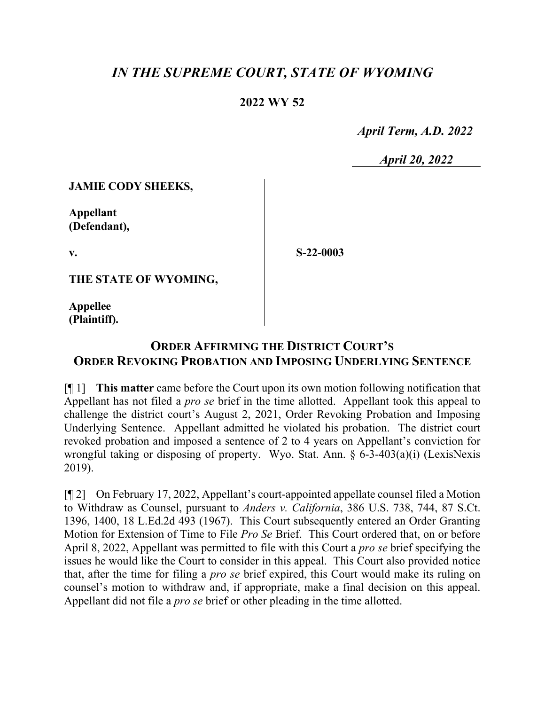## *IN THE SUPREME COURT, STATE OF WYOMING*

## **2022 WY 52**

 *April Term, A.D. 2022*

*April 20, 2022*

**JAMIE CODY SHEEKS,**

**Appellant (Defendant),**

**v.**

**S-22-0003**

**THE STATE OF WYOMING,**

**Appellee (Plaintiff).**

## **ORDER AFFIRMING THE DISTRICT COURT'S ORDER REVOKING PROBATION AND IMPOSING UNDERLYING SENTENCE**

[¶ 1] **This matter** came before the Court upon its own motion following notification that Appellant has not filed a *pro se* brief in the time allotted. Appellant took this appeal to challenge the district court's August 2, 2021, Order Revoking Probation and Imposing Underlying Sentence. Appellant admitted he violated his probation. The district court revoked probation and imposed a sentence of 2 to 4 years on Appellant's conviction for wrongful taking or disposing of property. Wyo. Stat. Ann. § 6-3-403(a)(i) (LexisNexis 2019).

[¶ 2] On February 17, 2022, Appellant's court-appointed appellate counsel filed a Motion to Withdraw as Counsel, pursuant to *Anders v. California*, 386 U.S. 738, 744, 87 S.Ct. 1396, 1400, 18 L.Ed.2d 493 (1967). This Court subsequently entered an Order Granting Motion for Extension of Time to File *Pro Se* Brief. This Court ordered that, on or before April 8, 2022, Appellant was permitted to file with this Court a *pro se* brief specifying the issues he would like the Court to consider in this appeal. This Court also provided notice that, after the time for filing a *pro se* brief expired, this Court would make its ruling on counsel's motion to withdraw and, if appropriate, make a final decision on this appeal. Appellant did not file a *pro se* brief or other pleading in the time allotted.